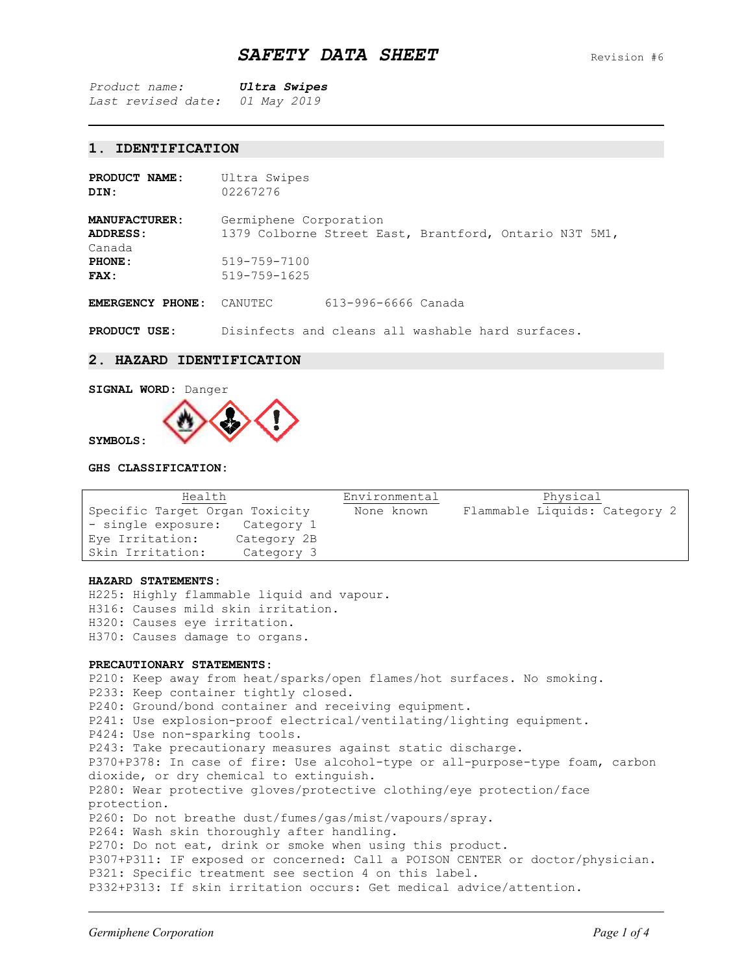*Product name: Ultra Swipes Last revised date: 01 May 2019*

# **1. IDENTIFICATION**

| PRODUCT NAME:<br>DIN:                                        | Ultra Swipes<br>02267276                                                                                               |                     |  |  |
|--------------------------------------------------------------|------------------------------------------------------------------------------------------------------------------------|---------------------|--|--|
| <b>MANUFACTURER:</b><br>ADDRESS:<br>Canada<br>PHONE:<br>FAX: | Germiphene Corporation<br>1379 Colborne Street East, Brantford, Ontario N3T 5M1,<br>519-759-7100<br>$519 - 759 - 1625$ |                     |  |  |
| <b>EMERGENCY</b><br>PHONE:                                   | CANUTEC                                                                                                                | 613-996-6666 Canada |  |  |

**PRODUCT USE:** Disinfects and cleans all washable hard surfaces.

### **2. HAZARD IDENTIFICATION**



**SYMBOLS:**

## **GHS CLASSIFICATION:**

| Health                         |             | Environmental | Physical                      |
|--------------------------------|-------------|---------------|-------------------------------|
| Specific Target Organ Toxicity |             | None known    | Flammable Liquids: Category 2 |
| - single exposure:             | Category 1  |               |                               |
| Eye Irritation:                | Category 2B |               |                               |
| Skin Irritation:               | Category 3  |               |                               |

#### **HAZARD STATEMENTS:**

H225: Highly flammable liquid and vapour. H316: Causes mild skin irritation. H320: Causes eye irritation. H370: Causes damage to organs.

### **PRECAUTIONARY STATEMENTS:**

P210: Keep away from heat/sparks/open flames/hot surfaces. No smoking. P233: Keep container tightly closed. P240: Ground/bond container and receiving equipment. P241: Use explosion-proof electrical/ventilating/lighting equipment. P424: Use non-sparking tools. P243: Take precautionary measures against static discharge. P370+P378: In case of fire: Use alcohol-type or all-purpose-type foam, carbon dioxide, or dry chemical to extinguish. P280: Wear protective gloves/protective clothing/eye protection/face protection. P260: Do not breathe dust/fumes/gas/mist/vapours/spray. P264: Wash skin thoroughly after handling. P270: Do not eat, drink or smoke when using this product. P307+P311: IF exposed or concerned: Call a POISON CENTER or doctor/physician. P321: Specific treatment see section 4 on this label. P332+P313: If skin irritation occurs: Get medical advice/attention.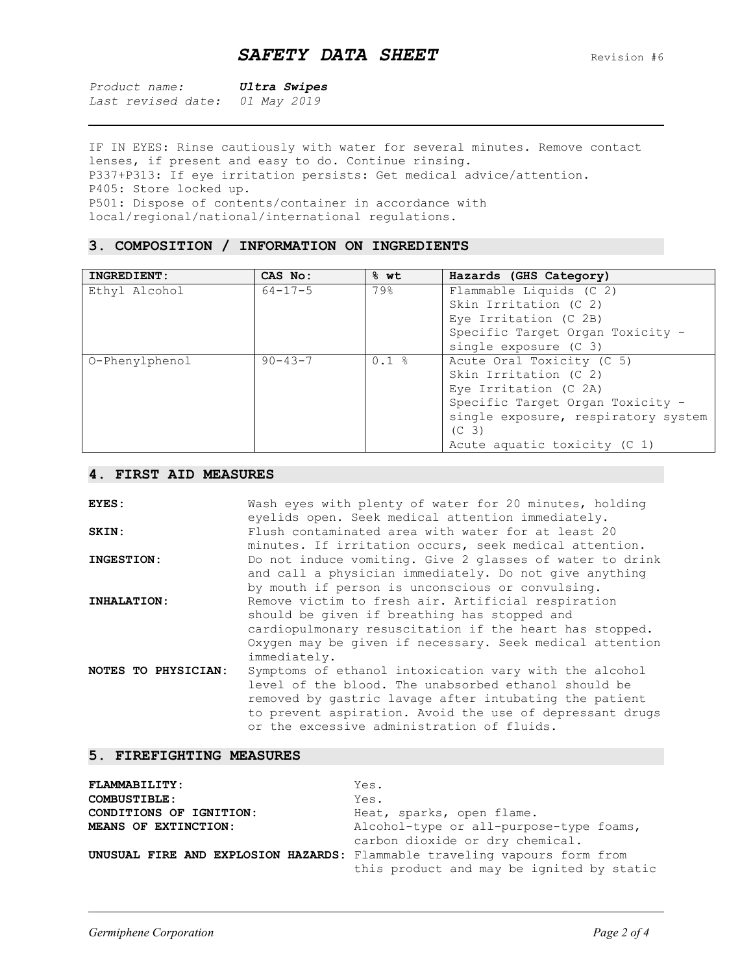| Product name: |  | Ultra Swipes |  |
|---------------|--|--------------|--|
|               |  | - - - -      |  |

*Last revised date: 01 May 2019*

IF IN EYES: Rinse cautiously with water for several minutes. Remove contact lenses, if present and easy to do. Continue rinsing. P337+P313: If eye irritation persists: Get medical advice/attention. P405: Store locked up. P501: Dispose of contents/container in accordance with local/regional/national/international regulations.

## **3. COMPOSITION / INFORMATION ON INGREDIENTS**

| INGREDIENT:    | CAS No:       | 8 wt | Hazards (GHS Category)              |
|----------------|---------------|------|-------------------------------------|
| Ethyl Alcohol  | $64 - 17 - 5$ | 79%  | Flammable Liquids (C 2)             |
|                |               |      | Skin Irritation (C 2)               |
|                |               |      | Eye Irritation (C 2B)               |
|                |               |      | Specific Target Organ Toxicity -    |
|                |               |      | single exposure (C 3)               |
| O-Phenylphenol | $90 - 43 - 7$ | 0.1% | Acute Oral Toxicity (C 5)           |
|                |               |      | Skin Irritation (C 2)               |
|                |               |      | Eye Irritation (C 2A)               |
|                |               |      | Specific Target Organ Toxicity -    |
|                |               |      | single exposure, respiratory system |
|                |               |      | (C <sub>3</sub> )                   |
|                |               |      | Acute aquatic toxicity (C 1)        |

## **4. FIRST AID MEASURES**

| EYES:               | Wash eyes with plenty of water for 20 minutes, holding<br>eyelids open. Seek medical attention immediately.                                                                                                                                                                        |
|---------------------|------------------------------------------------------------------------------------------------------------------------------------------------------------------------------------------------------------------------------------------------------------------------------------|
| SKIN:               | Flush contaminated area with water for at least 20<br>minutes. If irritation occurs, seek medical attention.                                                                                                                                                                       |
| INGESTION:          | Do not induce vomiting. Give 2 glasses of water to drink<br>and call a physician immediately. Do not give anything<br>by mouth if person is unconscious or convulsing.                                                                                                             |
| INHALATION:         | Remove victim to fresh air. Artificial respiration<br>should be given if breathing has stopped and<br>cardiopulmonary resuscitation if the heart has stopped.<br>Oxygen may be given if necessary. Seek medical attention<br>immediately.                                          |
| NOTES TO PHYSICIAN: | Symptoms of ethanol intoxication vary with the alcohol<br>level of the blood. The unabsorbed ethanol should be<br>removed by gastric lavage after intubating the patient<br>to prevent aspiration. Avoid the use of depressant drugs<br>or the excessive administration of fluids. |

## **5. FIREFIGHTING MEASURES**

| <b>FLAMMABILITY:</b>    | Yes.                                                                             |
|-------------------------|----------------------------------------------------------------------------------|
| <b>COMBUSTIBLE:</b>     | Yes.                                                                             |
| CONDITIONS OF IGNITION: | Heat, sparks, open flame.                                                        |
| MEANS OF EXTINCTION:    | Alcohol-type or all-purpose-type foams,                                          |
|                         | carbon dioxide or dry chemical.                                                  |
|                         | <b>UNUSUAL FIRE AND EXPLOSION HAZARDS:</b> Flammable traveling vapours form from |
|                         | this product and may be ignited by static                                        |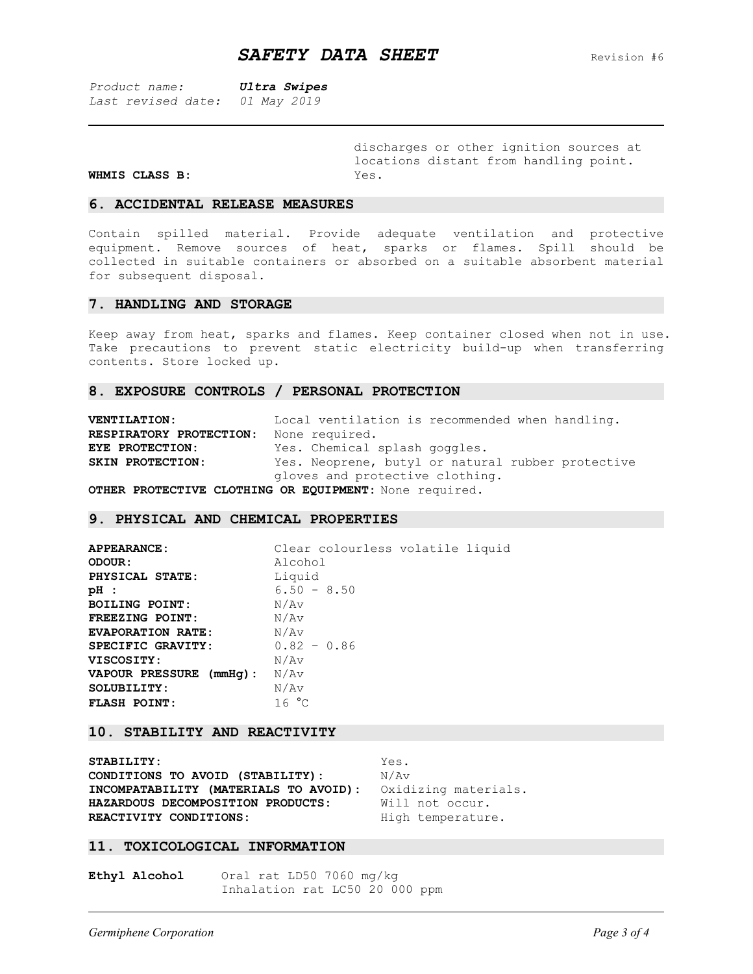*Product name: Ultra Swipes Last revised date: 01 May 2019*

discharges or other ignition sources at locations distant from handling point.

#### **WHMIS CLASS B:** Yes.

#### **6. ACCIDENTAL RELEASE MEASURES**

Contain spilled material. Provide adequate ventilation and protective equipment. Remove sources of heat, sparks or flames. Spill should be collected in suitable containers or absorbed on a suitable absorbent material for subsequent disposal.

### **7. HANDLING AND STORAGE**

Keep away from heat, sparks and flames. Keep container closed when not in use. Take precautions to prevent static electricity build-up when transferring contents. Store locked up.

### **8. EXPOSURE CONTROLS / PERSONAL PROTECTION**

| <b>VENTILATION:</b>     | Local ventilation is recommended when handling.                                    |
|-------------------------|------------------------------------------------------------------------------------|
| RESPIRATORY PROTECTION: | None required.                                                                     |
| EYE PROTECTION:         | Yes. Chemical splash goggles.                                                      |
| SKIN PROTECTION:        | Yes. Neoprene, butyl or natural rubber protective                                  |
|                         | gloves and protective clothing.                                                    |
|                         | $A$ munn po $A$ mn $A$ mitum $A$ r $A$ mutu $A$ $A$ p n $A$ utuum, Nasa saasi saal |

**OTHER PROTECTIVE CLOTHING OR EQUIPMENT:** None required.

#### **9. PHYSICAL AND CHEMICAL PROPERTIES**

| <b>APPEARANCE:</b>       | Clear colourless volatile liquid |
|--------------------------|----------------------------------|
| ODOUR:                   | Alcohol                          |
| PHYSICAL STATE:          | Liquid                           |
| pH :                     | $6.50 - 8.50$                    |
| <b>BOILING POINT:</b>    | N/Av                             |
| FREEZING POINT:          | N/Av                             |
| <b>EVAPORATION RATE:</b> | N/Av                             |
| SPECIFIC GRAVITY:        | $0.82 - 0.86$                    |
| <b>VISCOSITY:</b>        | N/Av                             |
| VAPOUR PRESSURE (mmHq):  | N/Av                             |
| SOLUBILITY:              | N/Av                             |
| <b>FLASH POINT:</b>      | 16 °C                            |

## **10. STABILITY AND REACTIVITY**

STABILITY: Yes. **CONDITIONS TO AVOID (STABILITY):**  $N/AV$ **INCOMPATABILITY (MATERIALS TO AVOID):** Oxidizing materials. **HAZARDOUS DECOMPOSITION PRODUCTS:** Will not occur. REACTIVITY CONDITIONS: High temperature.

#### **11. TOXICOLOGICAL INFORMATION**

**Ethyl Alcohol** Oral rat LD50 7060 mg/kg Inhalation rat LC50 20 000 ppm